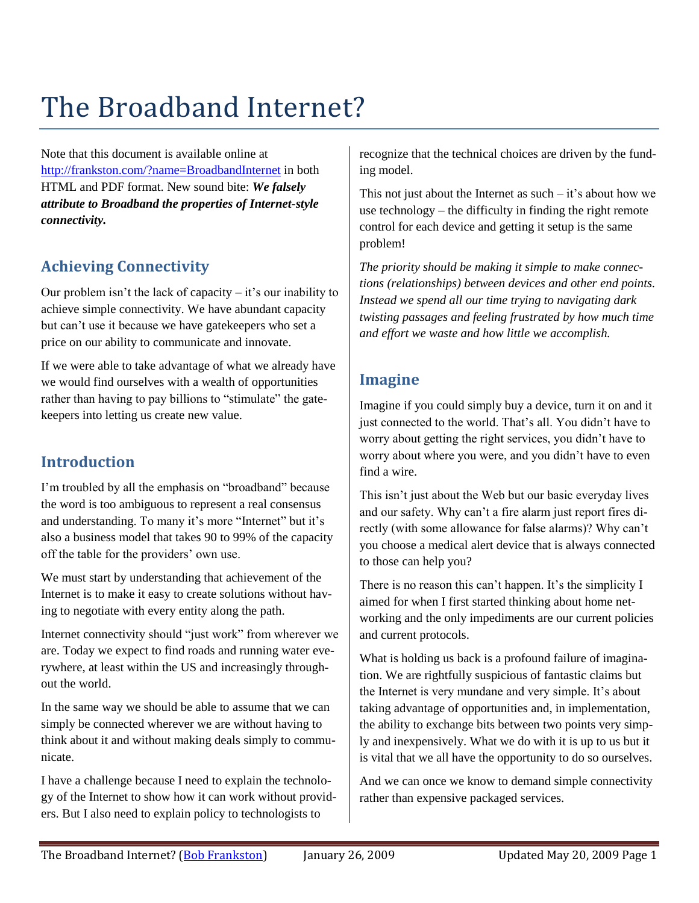# The Broadband Internet?

Note that this document is available online at <http://frankston.com/?name=BroadbandInternet> in both HTML and PDF format. New sound bite: *We falsely attribute to Broadband the properties of Internet-style connectivity.*

# **Achieving Connectivity**

Our problem isn't the lack of capacity  $-$  it's our inability to achieve simple connectivity. We have abundant capacity but can't use it because we have gatekeepers who set a price on our ability to communicate and innovate.

If we were able to take advantage of what we already have we would find ourselves with a wealth of opportunities rather than having to pay billions to "stimulate" the gatekeepers into letting us create new value.

### **Introduction**

I'm troubled by all the emphasis on "broadband" because the word is too ambiguous to represent a real consensus and understanding. To many it's more "Internet" but it's also a business model that takes 90 to 99% of the capacity off the table for the providers' own use.

We must start by understanding that achievement of the Internet is to make it easy to create solutions without having to negotiate with every entity along the path.

Internet connectivity should "just work" from wherever we are. Today we expect to find roads and running water everywhere, at least within the US and increasingly throughout the world.

In the same way we should be able to assume that we can simply be connected wherever we are without having to think about it and without making deals simply to communicate.

I have a challenge because I need to explain the technology of the Internet to show how it can work without providers. But I also need to explain policy to technologists to

recognize that the technical choices are driven by the funding model.

This not just about the Internet as such  $-$  it's about how we use technology – the difficulty in finding the right remote control for each device and getting it setup is the same problem!

*The priority should be making it simple to make connections (relationships) between devices and other end points. Instead we spend all our time trying to navigating dark twisting passages and feeling frustrated by how much time and effort we waste and how little we accomplish.*

#### **Imagine**

Imagine if you could simply buy a device, turn it on and it just connected to the world. That's all. You didn't have to worry about getting the right services, you didn't have to worry about where you were, and you didn't have to even find a wire.

This isn't just about the Web but our basic everyday lives and our safety. Why can't a fire alarm just report fires directly (with some allowance for false alarms)? Why can't you choose a medical alert device that is always connected to those can help you?

There is no reason this can't happen. It's the simplicity I aimed for when I first started thinking about home networking and the only impediments are our current policies and current protocols.

What is holding us back is a profound failure of imagination. We are rightfully suspicious of fantastic claims but the Internet is very mundane and very simple. It's about taking advantage of opportunities and, in implementation, the ability to exchange bits between two points very simply and inexpensively. What we do with it is up to us but it is vital that we all have the opportunity to do so ourselves.

And we can once we know to demand simple connectivity rather than expensive packaged services.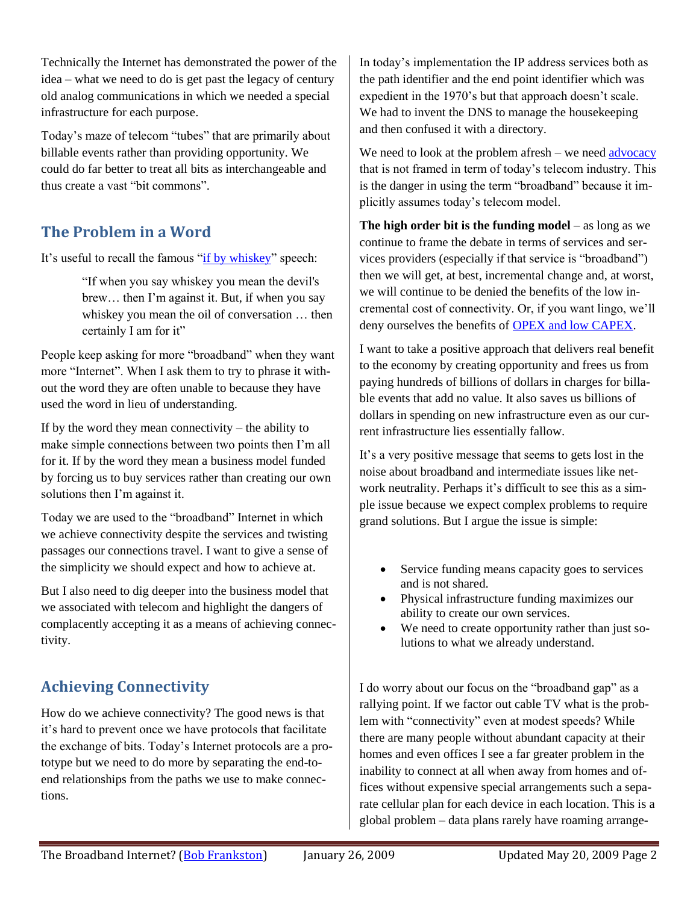Technically the Internet has demonstrated the power of the idea – what we need to do is get past the legacy of century old analog communications in which we needed a special infrastructure for each purpose.

Today's maze of telecom "tubes" that are primarily about billable events rather than providing opportunity. We could do far better to treat all bits as interchangeable and thus create a vast "bit commons".

# **The Problem in a Word**

It's useful to recall the famous ["if by whiskey"](http://en.wikipedia.org/wiki/If-by-whiskey) speech:

"If when you say whiskey you mean the devil's brew… then I'm against it. But, if when you say whiskey you mean the oil of conversation … then certainly I am for it"

People keep asking for more "broadband" when they want more "Internet". When I ask them to try to phrase it without the word they are often unable to because they have used the word in lieu of understanding.

If by the word they mean connectivity – the ability to make simple connections between two points then I'm all for it. If by the word they mean a business model funded by forcing us to buy services rather than creating our own solutions then I'm against it.

Today we are used to the "broadband" Internet in which we achieve connectivity despite the services and twisting passages our connections travel. I want to give a sense of the simplicity we should expect and how to achieve at.

But I also need to dig deeper into the business model that we associated with telecom and highlight the dangers of complacently accepting it as a means of achieving connectivity.

# **Achieving Connectivity**

How do we achieve connectivity? The good news is that it's hard to prevent once we have protocols that facilitate the exchange of bits. Today's Internet protocols are a prototype but we need to do more by separating the end-toend relationships from the paths we use to make connections.

In today's implementation the IP address services both as the path identifier and the end point identifier which was expedient in the 1970's but that approach doesn't scale. We had to invent the DNS to manage the housekeeping and then confused it with a directory.

We need to look at the problem afresh – we need  $\frac{advocacy}{advocacy}$ that is not framed in term of today's telecom industry. This is the danger in using the term "broadband" because it implicitly assumes today's telecom model.

**The high order bit is the funding model** – as long as we continue to frame the debate in terms of services and services providers (especially if that service is "broadband") then we will get, at best, incremental change and, at worst, we will continue to be denied the benefits of the low incremental cost of connectivity. Or, if you want lingo, we'll deny ourselves the benefits of [OPEX and low CAPEX.](http://frankston.com/public/?name=IPTelecomCosts)

I want to take a positive approach that delivers real benefit to the economy by creating opportunity and frees us from paying hundreds of billions of dollars in charges for billable events that add no value. It also saves us billions of dollars in spending on new infrastructure even as our current infrastructure lies essentially fallow.

It's a very positive message that seems to gets lost in the noise about broadband and intermediate issues like network neutrality. Perhaps it's difficult to see this as a simple issue because we expect complex problems to require grand solutions. But I argue the issue is simple:

- Service funding means capacity goes to services and is not shared.
- Physical infrastructure funding maximizes our ability to create our own services.
- We need to create opportunity rather than just solutions to what we already understand.

I do worry about our focus on the "broadband gap" as a rallying point. If we factor out cable TV what is the problem with "connectivity" even at modest speeds? While there are many people without abundant capacity at their homes and even offices I see a far greater problem in the inability to connect at all when away from homes and offices without expensive special arrangements such a separate cellular plan for each device in each location. This is a global problem – data plans rarely have roaming arrange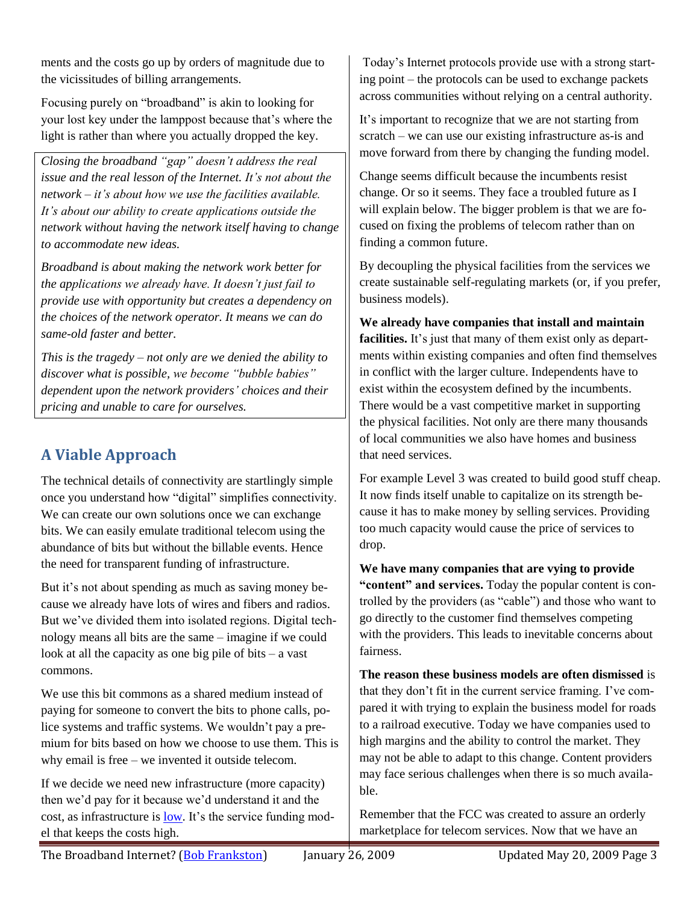ments and the costs go up by orders of magnitude due to the vicissitudes of billing arrangements.

Focusing purely on "broadband" is akin to looking for your lost key under the lamppost because that's where the light is rather than where you actually dropped the key.

*Closing the broadband "gap" doesn't address the real issue and the real lesson of the Internet. It's not about the network – it's about how we use the facilities available. It's about our ability to create applications outside the network without having the network itself having to change to accommodate new ideas.*

*Broadband is about making the network work better for the applications we already have. It doesn't just fail to provide use with opportunity but creates a dependency on the choices of the network operator. It means we can do same-old faster and better.*

*This is the tragedy – not only are we denied the ability to discover what is possible, we become "bubble babies" dependent upon the network providers' choices and their pricing and unable to care for ourselves.*

# **A Viable Approach**

The technical details of connectivity are startlingly simple once you understand how "digital" simplifies connectivity. We can create our own solutions once we can exchange bits. We can easily emulate traditional telecom using the abundance of bits but without the billable events. Hence the need for transparent funding of infrastructure.

But it's not about spending as much as saving money because we already have lots of wires and fibers and radios. But we've divided them into isolated regions. Digital technology means all bits are the same – imagine if we could look at all the capacity as one big pile of bits – a vast commons.

We use this bit commons as a shared medium instead of paying for someone to convert the bits to phone calls, police systems and traffic systems. We wouldn't pay a premium for bits based on how we choose to use them. This is why email is free – we invented it outside telecom.

If we decide we need new infrastructure (more capacity) then we'd pay for it because we'd understand it and the cost, as infrastructure is [low.](http://frankston.com/public/?name=IPTelecomCosts) It's the service funding model that keeps the costs high.

Today's Internet protocols provide use with a strong starting point – the protocols can be used to exchange packets across communities without relying on a central authority.

It's important to recognize that we are not starting from scratch – we can use our existing infrastructure as-is and move forward from there by changing the funding model.

Change seems difficult because the incumbents resist change. Or so it seems. They face a troubled future as I will explain below. The bigger problem is that we are focused on fixing the problems of telecom rather than on finding a common future.

By decoupling the physical facilities from the services we create sustainable self-regulating markets (or, if you prefer, business models).

**We already have companies that install and maintain**  facilities. It's just that many of them exist only as departments within existing companies and often find themselves in conflict with the larger culture. Independents have to exist within the ecosystem defined by the incumbents. There would be a vast competitive market in supporting the physical facilities. Not only are there many thousands of local communities we also have homes and business that need services.

For example Level 3 was created to build good stuff cheap. It now finds itself unable to capitalize on its strength because it has to make money by selling services. Providing too much capacity would cause the price of services to drop.

**We have many companies that are vying to provide "content" and services.** Today the popular content is controlled by the providers (as "cable") and those who want to go directly to the customer find themselves competing with the providers. This leads to inevitable concerns about fairness.

**The reason these business models are often dismissed** is that they don't fit in the current service framing. I've compared it with trying to explain the business model for roads to a railroad executive. Today we have companies used to high margins and the ability to control the market. They may not be able to adapt to this change. Content providers may face serious challenges when there is so much available.

Remember that the FCC was created to assure an orderly marketplace for telecom services. Now that we have an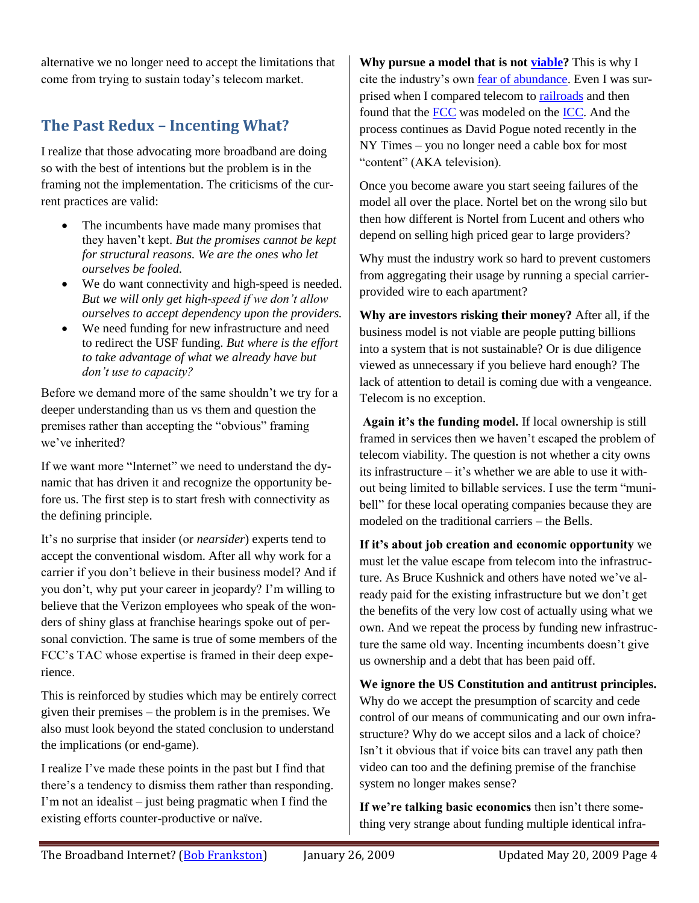alternative we no longer need to accept the limitations that come from trying to sustain today's telecom market.

# **The Past Redux – Incenting What?**

I realize that those advocating more broadband are doing so with the best of intentions but the problem is in the framing not the implementation. The criticisms of the current practices are valid:

- The incumbents have made many promises that they haven't kept. *But the promises cannot be kept for structural reasons. We are the ones who let ourselves be fooled.*
- We do want connectivity and high-speed is needed. *But we will only get high-speed if we don't allow ourselves to accept dependency upon the providers.*
- We need funding for new infrastructure and need to redirect the USF funding. *But where is the effort to take advantage of what we already have but don't use to capacity?*

Before we demand more of the same shouldn't we try for a deeper understanding than us vs them and question the premises rather than accepting the "obvious" framing we've inherited?

If we want more "Internet" we need to understand the dynamic that has driven it and recognize the opportunity before us. The first step is to start fresh with connectivity as the defining principle.

It's no surprise that insider (or *nearsider*) experts tend to accept the conventional wisdom. After all why work for a carrier if you don't believe in their business model? And if you don't, why put your career in jeopardy? I'm willing to believe that the Verizon employees who speak of the wonders of shiny glass at franchise hearings spoke out of personal conviction. The same is true of some members of the FCC's TAC whose expertise is framed in their deep experience.

This is reinforced by studies which may be entirely correct given their premises – the problem is in the premises. We also must look beyond the stated conclusion to understand the implications (or end-game).

I realize I've made these points in the past but I find that there's a tendency to dismiss them rather than responding. I'm not an idealist – just being pragmatic when I find the existing efforts counter-productive or naïve.

**Why pursue a model that is not [viable?](http://frankston.com/public/?name=TelecomViability)** This is why I cite the industry's own [fear of abundance.](http://frankston.com/public/?name=AssuringScarcity) Even I was surprised when I compared telecom to [railroads](http://www.frankston.com/?name=RailRoads) and then found that the [FCC](http://www.fcc.gov/) was modeled on the [ICC.](http://en.wikipedia.org/wiki/Interstate_Commerce_Commission) And the process continues as David Pogue noted recently in the NY Times – you no longer need a cable box for most "content" (AKA television).

Once you become aware you start seeing failures of the model all over the place. Nortel bet on the wrong silo but then how different is Nortel from Lucent and others who depend on selling high priced gear to large providers?

Why must the industry work so hard to prevent customers from aggregating their usage by running a special carrierprovided wire to each apartment?

**Why are investors risking their money?** After all, if the business model is not viable are people putting billions into a system that is not sustainable? Or is due diligence viewed as unnecessary if you believe hard enough? The lack of attention to detail is coming due with a vengeance. Telecom is no exception.

**Again it's the funding model.** If local ownership is still framed in services then we haven't escaped the problem of telecom viability. The question is not whether a city owns its infrastructure – it's whether we are able to use it without being limited to billable services. I use the term "munibell" for these local operating companies because they are modeled on the traditional carriers – the Bells.

**If it's about job creation and economic opportunity** we must let the value escape from telecom into the infrastructure. As Bruce Kushnick and others have noted we've already paid for the existing infrastructure but we don't get the benefits of the very low cost of actually using what we own. And we repeat the process by funding new infrastructure the same old way. Incenting incumbents doesn't give us ownership and a debt that has been paid off.

**We ignore the US Constitution and antitrust principles.** Why do we accept the presumption of scarcity and cede control of our means of communicating and our own infrastructure? Why do we accept silos and a lack of choice? Isn't it obvious that if voice bits can travel any path then video can too and the defining premise of the franchise system no longer makes sense?

**If we're talking basic economics** then isn't there something very strange about funding multiple identical infra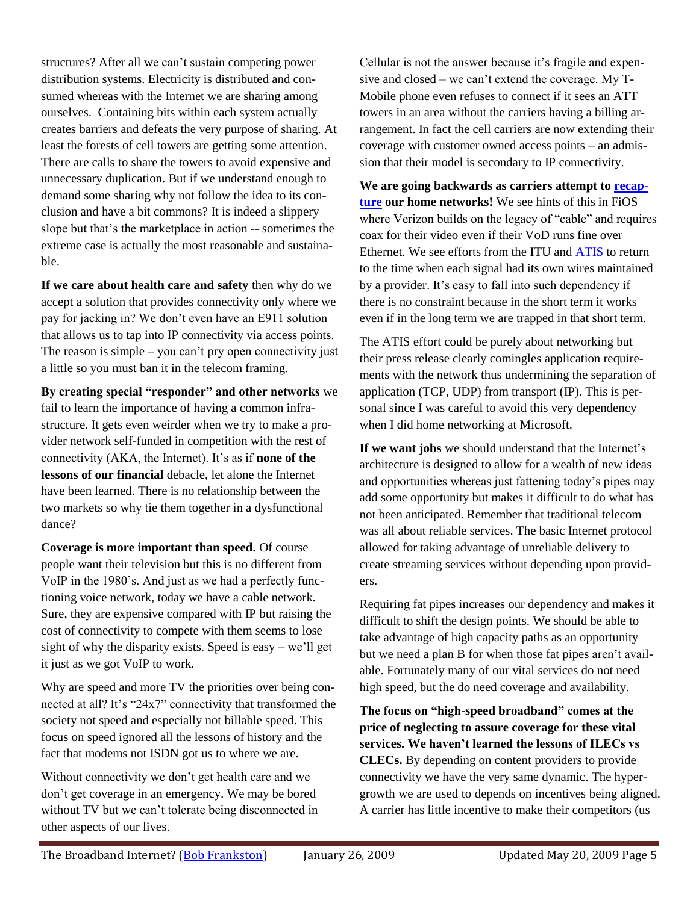structures? After all we can't sustain competing power distribution systems. Electricity is distributed and consumed whereas with the Internet we are sharing among ourselves. Containing bits within each system actually creates barriers and defeats the very purpose of sharing. At least the forests of cell towers are getting some attention. There are calls to share the towers to avoid expensive and unnecessary duplication. But if we understand enough to demand some sharing why not follow the idea to its conclusion and have a bit commons? It is indeed a slippery slope but that's the marketplace in action -- sometimes the extreme case is actually the most reasonable and sustainable.

**If we care about health care and safety** then why do we accept a solution that provides connectivity only where we pay for jacking in? We don't even have an E911 solution that allows us to tap into IP connectivity via access points. The reason is simple – you can't pry open connectivity just a little so you must ban it in the telecom framing.

**By creating special "responder" and other networks** we fail to learn the importance of having a common infrastructure. It gets even weirder when we try to make a provider network self-funded in competition with the rest of connectivity (AKA, the Internet). It's as if **none of the lessons of our financial** debacle, let alone the Internet have been learned. There is no relationship between the two markets so why tie them together in a dysfunctional dance?

**Coverage is more important than speed.** Of course people want their television but this is no different from VoIP in the 1980's. And just as we had a perfectly functioning voice network, today we have a cable network. Sure, they are expensive compared with IP but raising the cost of connectivity to compete with them seems to lose sight of why the disparity exists. Speed is easy – we'll get it just as we got VoIP to work.

Why are speed and more TV the priorities over being connected at all? It's "24x7" connectivity that transformed the society not speed and especially not billable speed. This focus on speed ignored all the lessons of history and the fact that modems not ISDN got us to where we are.

Without connectivity we don't get health care and we don't get coverage in an emergency. We may be bored without TV but we can't tolerate being disconnected in other aspects of our lives.

Cellular is not the answer because it's fragile and expensive and closed – we can't extend the coverage. My T-Mobile phone even refuses to connect if it sees an ATT towers in an area without the carriers having a billing arrangement. In fact the cell carriers are now extending their coverage with customer owned access points – an admission that their model is secondary to IP connectivity.

**We are going backwards as carriers attempt to [recap](http://frankston.com/?name=IPBackHome)[ture](http://frankston.com/?name=IPBackHome) our home networks!** We see hints of this in FiOS where Verizon builds on the legacy of "cable" and requires coax for their video even if their VoD runs fine over Ethernet. We see efforts from the ITU and [ATIS](http://www.atis.org/PRESS/pressreleases2009/011509.htm) to return to the time when each signal had its own wires maintained by a provider. It's easy to fall into such dependency if there is no constraint because in the short term it works even if in the long term we are trapped in that short term.

The ATIS effort could be purely about networking but their press release clearly comingles application requirements with the network thus undermining the separation of application (TCP, UDP) from transport (IP). This is personal since I was careful to avoid this very dependency when I did home networking at Microsoft.

**If we want jobs** we should understand that the Internet's architecture is designed to allow for a wealth of new ideas and opportunities whereas just fattening today's pipes may add some opportunity but makes it difficult to do what has not been anticipated. Remember that traditional telecom was all about reliable services. The basic Internet protocol allowed for taking advantage of unreliable delivery to create streaming services without depending upon providers.

Requiring fat pipes increases our dependency and makes it difficult to shift the design points. We should be able to take advantage of high capacity paths as an opportunity but we need a plan B for when those fat pipes aren't available. Fortunately many of our vital services do not need high speed, but the do need coverage and availability.

**The focus on "high-speed broadband" comes at the price of neglecting to assure coverage for these vital services. We haven't learned the lessons of ILECs vs CLECs.** By depending on content providers to provide connectivity we have the very same dynamic. The hypergrowth we are used to depends on incentives being aligned. A carrier has little incentive to make their competitors (us